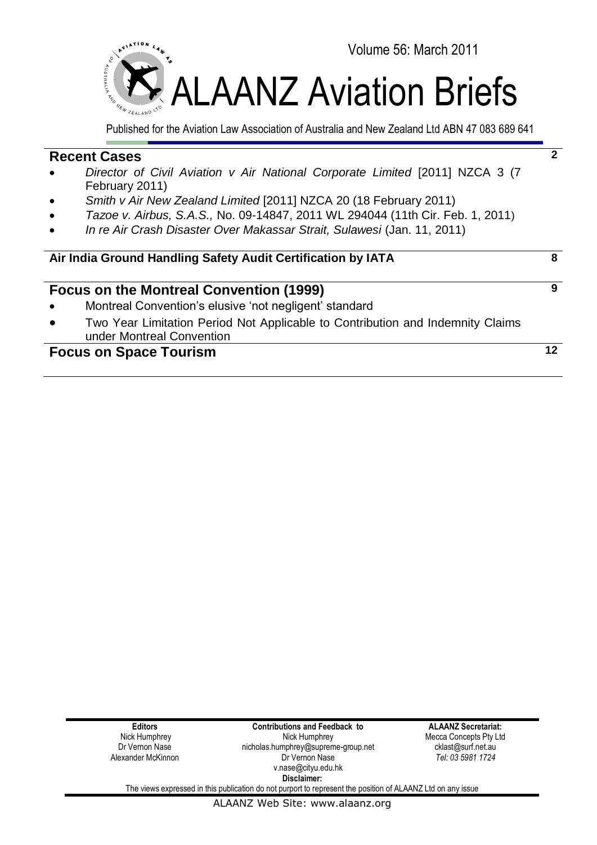

Published for the Aviation Law Association of Australia and New Zealand Ltd ABN 47 083 689 641

## **Recent Cases**

- *Director of Civil Aviation v Air National Corporate Limited* [2011] NZCA 3 (7 February 2011)
- *Smith v Air New Zealand Limited* [2011] NZCA 20 (18 February 2011)
- *Tazoe v. Airbus, S.A.S.,* No. 09-14847, 2011 WL 294044 (11th Cir. Feb. 1, 2011)
- *In re Air Crash Disaster Over Makassar Strait, Sulawesi* (Jan. 11, 2011)

## **Air India Ground Handling Safety Audit Certification by IATA 8**

## **Focus on the Montreal Convention (1999)**

- Montreal Convention's elusive 'not negligent' standard
- Two Year Limitation Period Not Applicable to Contribution and Indemnity Claims under Montreal Convention

# **Focus on Space Tourism 12**

**Editors** Nick Humphrey Dr Vernon Nase Alexander McKinnon

**Contributions and Feedback to** Nick Humphrey nicholas.humphrey@supreme-group.net Dr Vernon Nase v.nase@cityu.edu.hk **Disclaimer:**

**ALAANZ Secretariat:** Mecca Concepts Pty Ltd cklast@surf.net.au *Tel: 03 5981 1724*

**2**

**9**

The views expressed in this publication do not purport to represent the position of ALAANZ Ltd on any issue

ALAANZ Web Site: www.alaanz.org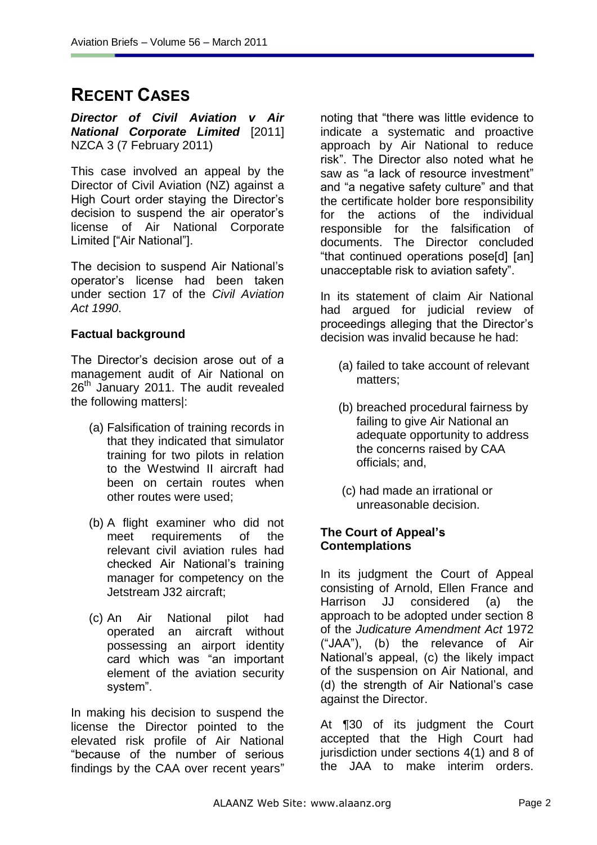# **RECENT CASES**

*Director of Civil Aviation v Air National Corporate Limited* [2011] NZCA 3 (7 February 2011)

This case involved an appeal by the Director of Civil Aviation (NZ) against a High Court order staying the Director"s decision to suspend the air operator's license of Air National Corporate Limited ["Air National"].

The decision to suspend Air National"s operator"s license had been taken under section 17 of the *Civil Aviation Act 1990*.

## **Factual background**

The Director"s decision arose out of a management audit of Air National on 26<sup>th</sup> January 2011. The audit revealed the following matters|:

- (a) Falsification of training records in that they indicated that simulator training for two pilots in relation to the Westwind II aircraft had been on certain routes when other routes were used;
- (b) A flight examiner who did not meet requirements of the relevant civil aviation rules had checked Air National"s training manager for competency on the Jetstream J32 aircraft;
- (c) An Air National pilot had operated an aircraft without possessing an airport identity card which was "an important element of the aviation security system".

In making his decision to suspend the license the Director pointed to the elevated risk profile of Air National "because of the number of serious findings by the CAA over recent years"

noting that "there was little evidence to indicate a systematic and proactive approach by Air National to reduce risk". The Director also noted what he saw as "a lack of resource investment" and "a negative safety culture" and that the certificate holder bore responsibility for the actions of the individual responsible for the falsification of documents. The Director concluded "that continued operations pose[d] [an] unacceptable risk to aviation safety".

In its statement of claim Air National had argued for judicial review of proceedings alleging that the Director"s decision was invalid because he had:

- (a) failed to take account of relevant matters;
- (b) breached procedural fairness by failing to give Air National an adequate opportunity to address the concerns raised by CAA officials; and,
- (c) had made an irrational or unreasonable decision.

## **The Court of Appeal"s Contemplations**

In its judgment the Court of Appeal consisting of Arnold, Ellen France and Harrison JJ considered (a) the approach to be adopted under section 8 of the *Judicature Amendment Act* 1972 ("JAA"), (b) the relevance of Air National"s appeal, (c) the likely impact of the suspension on Air National, and (d) the strength of Air National"s case against the Director.

At ¶30 of its judgment the Court accepted that the High Court had jurisdiction under sections 4(1) and 8 of the JAA to make interim orders.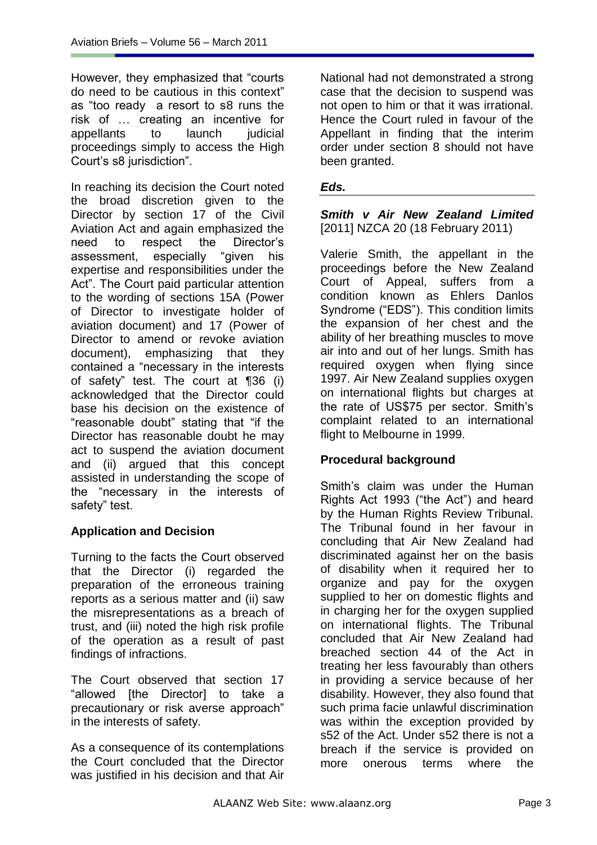However, they emphasized that "courts do need to be cautious in this context" as "too ready a resort to s8 runs the risk of … creating an incentive for appellants to launch judicial proceedings simply to access the High Court"s s8 jurisdiction".

In reaching its decision the Court noted the broad discretion given to the Director by section 17 of the Civil Aviation Act and again emphasized the need to respect the Director"s assessment, especially "given his expertise and responsibilities under the Act". The Court paid particular attention to the wording of sections 15A (Power of Director to investigate holder of aviation document) and 17 (Power of Director to amend or revoke aviation document), emphasizing that they contained a "necessary in the interests of safety" test. The court at ¶36 (i) acknowledged that the Director could base his decision on the existence of "reasonable doubt" stating that "if the Director has reasonable doubt he may act to suspend the aviation document and (ii) argued that this concept assisted in understanding the scope of the "necessary in the interests of safety" test.

# **Application and Decision**

Turning to the facts the Court observed that the Director (i) regarded the preparation of the erroneous training reports as a serious matter and (ii) saw the misrepresentations as a breach of trust, and (iii) noted the high risk profile of the operation as a result of past findings of infractions.

The Court observed that section 17 "allowed [the Director] to take a precautionary or risk averse approach" in the interests of safety.

As a consequence of its contemplations the Court concluded that the Director was justified in his decision and that Air National had not demonstrated a strong case that the decision to suspend was not open to him or that it was irrational. Hence the Court ruled in favour of the Appellant in finding that the interim order under section 8 should not have been granted.

#### *Eds.*

*Smith v Air New Zealand Limited*  [2011] NZCA 20 (18 February 2011)

Valerie Smith, the appellant in the proceedings before the New Zealand Court of Appeal, suffers from a condition known as Ehlers Danlos Syndrome ("EDS"). This condition limits the expansion of her chest and the ability of her breathing muscles to move air into and out of her lungs. Smith has required oxygen when flying since 1997. Air New Zealand supplies oxygen on international flights but charges at the rate of US\$75 per sector. Smith's complaint related to an international flight to Melbourne in 1999.

## **Procedural background**

Smith's claim was under the Human Rights Act 1993 ("the Act") and heard by the Human Rights Review Tribunal. The Tribunal found in her favour in concluding that Air New Zealand had discriminated against her on the basis of disability when it required her to organize and pay for the oxygen supplied to her on domestic flights and in charging her for the oxygen supplied on international flights. The Tribunal concluded that Air New Zealand had breached section 44 of the Act in treating her less favourably than others in providing a service because of her disability. However, they also found that such prima facie unlawful discrimination was within the exception provided by s52 of the Act. Under s52 there is not a breach if the service is provided on more onerous terms where the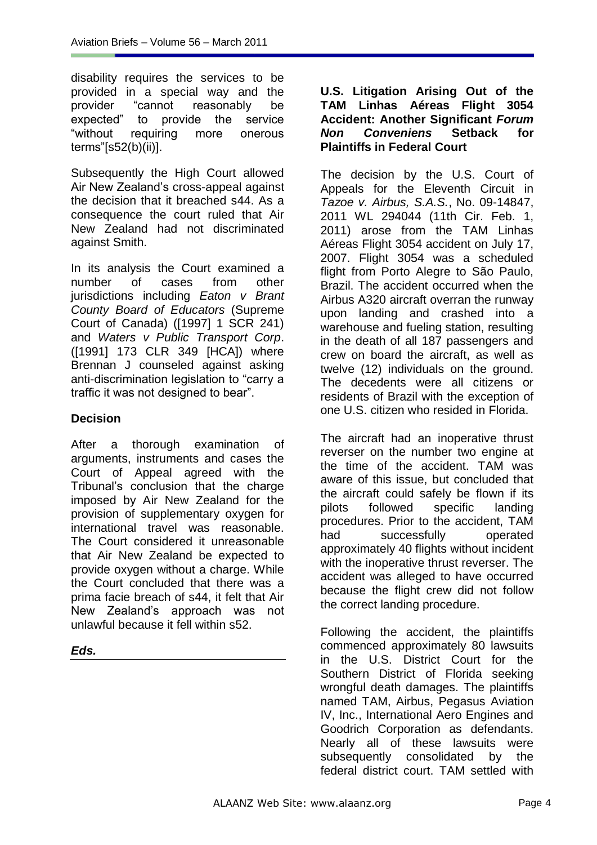disability requires the services to be provided in a special way and the provider "cannot reasonably be expected" to provide the service "without requiring more onerous terms"[s52(b)(ii)].

Subsequently the High Court allowed Air New Zealand"s cross-appeal against the decision that it breached s44. As a consequence the court ruled that Air New Zealand had not discriminated against Smith.

In its analysis the Court examined a number of cases from other jurisdictions including *Eaton v Brant County Board of Educators* (Supreme Court of Canada) ([1997] 1 SCR 241) and *Waters v Public Transport Corp*. ([1991] 173 CLR 349 [HCA]) where Brennan J counseled against asking anti-discrimination legislation to "carry a traffic it was not designed to bear".

## **Decision**

After a thorough examination of arguments, instruments and cases the Court of Appeal agreed with the Tribunal"s conclusion that the charge imposed by Air New Zealand for the provision of supplementary oxygen for international travel was reasonable. The Court considered it unreasonable that Air New Zealand be expected to provide oxygen without a charge. While the Court concluded that there was a prima facie breach of s44, it felt that Air New Zealand"s approach was not unlawful because it fell within s52.

*Eds.*

#### **U.S. Litigation Arising Out of the TAM Linhas Aéreas Flight 3054 Accident: Another Significant** *Forum Non Conveniens* **Setback for Plaintiffs in Federal Court**

The decision by the U.S. Court of Appeals for the Eleventh Circuit in *Tazoe v. Airbus, S.A.S.*, No. 09-14847, 2011 WL 294044 (11th Cir. Feb. 1, 2011) arose from the TAM Linhas Aéreas Flight 3054 accident on July 17, 2007. Flight 3054 was a scheduled flight from Porto Alegre to São Paulo, Brazil. The accident occurred when the Airbus A320 aircraft overran the runway upon landing and crashed into a warehouse and fueling station, resulting in the death of all 187 passengers and crew on board the aircraft, as well as twelve (12) individuals on the ground. The decedents were all citizens or residents of Brazil with the exception of one U.S. citizen who resided in Florida.

The aircraft had an inoperative thrust reverser on the number two engine at the time of the accident. TAM was aware of this issue, but concluded that the aircraft could safely be flown if its pilots followed specific landing procedures. Prior to the accident, TAM had successfully operated approximately 40 flights without incident with the inoperative thrust reverser. The accident was alleged to have occurred because the flight crew did not follow the correct landing procedure.

Following the accident, the plaintiffs commenced approximately 80 lawsuits in the U.S. District Court for the Southern District of Florida seeking wrongful death damages. The plaintiffs named TAM, Airbus, Pegasus Aviation IV, Inc., International Aero Engines and Goodrich Corporation as defendants. Nearly all of these lawsuits were subsequently consolidated by the federal district court. TAM settled with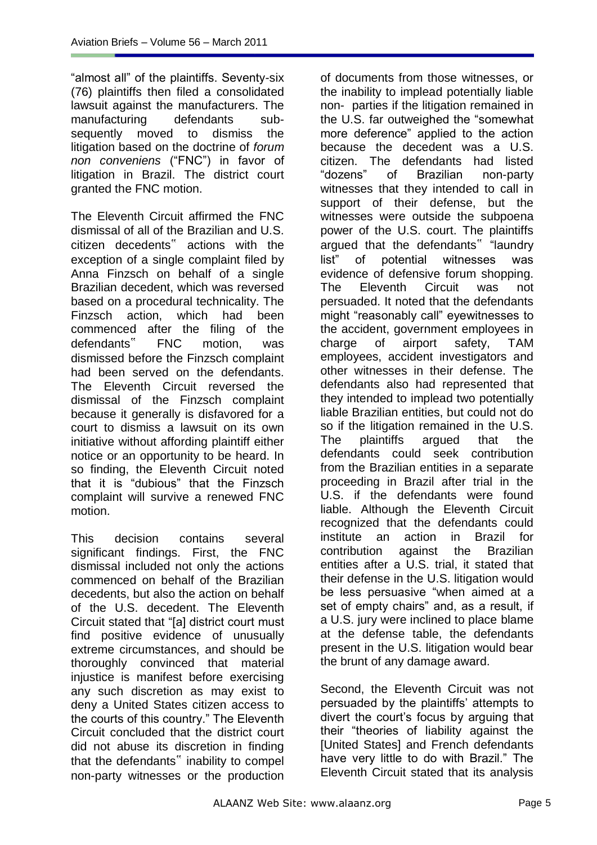"almost all" of the plaintiffs. Seventy-six (76) plaintiffs then filed a consolidated lawsuit against the manufacturers. The manufacturing defendants subsequently moved to dismiss the litigation based on the doctrine of *forum non conveniens* ("FNC") in favor of litigation in Brazil. The district court granted the FNC motion.

The Eleventh Circuit affirmed the FNC dismissal of all of the Brazilian and U.S. citizen decedents" actions with the exception of a single complaint filed by Anna Finzsch on behalf of a single Brazilian decedent, which was reversed based on a procedural technicality. The Finzsch action, which had been commenced after the filing of the defendants" FNC motion, was dismissed before the Finzsch complaint had been served on the defendants. The Eleventh Circuit reversed the dismissal of the Finzsch complaint because it generally is disfavored for a court to dismiss a lawsuit on its own initiative without affording plaintiff either notice or an opportunity to be heard. In so finding, the Eleventh Circuit noted that it is "dubious" that the Finzsch complaint will survive a renewed FNC motion.

This decision contains several significant findings. First, the FNC dismissal included not only the actions commenced on behalf of the Brazilian decedents, but also the action on behalf of the U.S. decedent. The Eleventh Circuit stated that "[a] district court must find positive evidence of unusually extreme circumstances, and should be thoroughly convinced that material injustice is manifest before exercising any such discretion as may exist to deny a United States citizen access to the courts of this country." The Eleventh Circuit concluded that the district court did not abuse its discretion in finding that the defendants" inability to compel non-party witnesses or the production of documents from those witnesses, or the inability to implead potentially liable non- parties if the litigation remained in the U.S. far outweighed the "somewhat more deference" applied to the action because the decedent was a U.S. citizen. The defendants had listed "dozens" of Brazilian non-party witnesses that they intended to call in support of their defense, but the witnesses were outside the subpoena power of the U.S. court. The plaintiffs argued that the defendants" "laundry list" of potential witnesses was evidence of defensive forum shopping. The Eleventh Circuit was not persuaded. It noted that the defendants might "reasonably call" eyewitnesses to the accident, government employees in charge of airport safety, TAM employees, accident investigators and other witnesses in their defense. The defendants also had represented that they intended to implead two potentially liable Brazilian entities, but could not do so if the litigation remained in the U.S. The plaintiffs argued that the defendants could seek contribution from the Brazilian entities in a separate proceeding in Brazil after trial in the U.S. if the defendants were found liable. Although the Eleventh Circuit recognized that the defendants could institute an action in Brazil for contribution against the Brazilian entities after a U.S. trial, it stated that their defense in the U.S. litigation would be less persuasive "when aimed at a set of empty chairs" and, as a result, if a U.S. jury were inclined to place blame at the defense table, the defendants present in the U.S. litigation would bear the brunt of any damage award.

Second, the Eleventh Circuit was not persuaded by the plaintiffs" attempts to divert the court"s focus by arguing that their "theories of liability against the [United States] and French defendants have very little to do with Brazil." The Eleventh Circuit stated that its analysis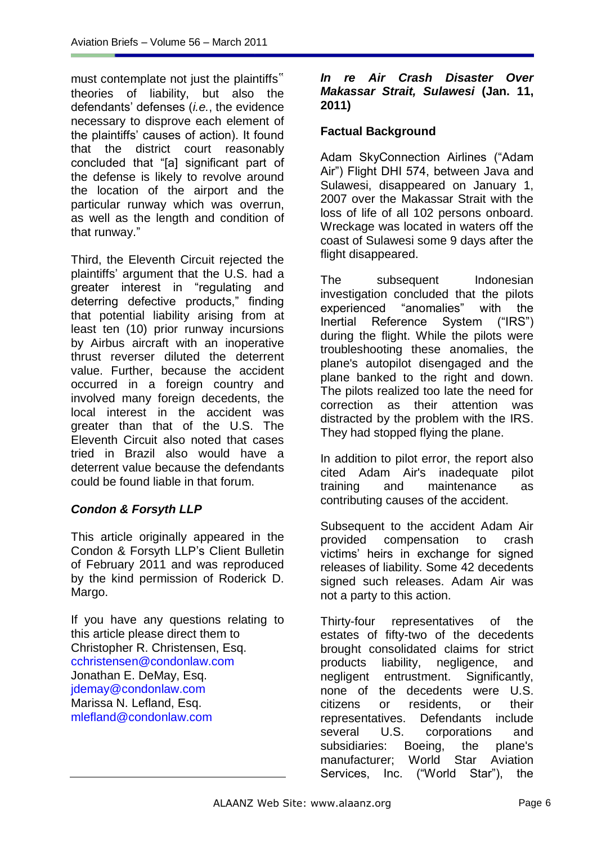must contemplate not just the plaintiffs" theories of liability, but also the defendants" defenses (*i.e.*, the evidence necessary to disprove each element of the plaintiffs" causes of action). It found that the district court reasonably concluded that "[a] significant part of the defense is likely to revolve around the location of the airport and the particular runway which was overrun, as well as the length and condition of that runway."

Third, the Eleventh Circuit rejected the plaintiffs" argument that the U.S. had a greater interest in "regulating and deterring defective products," finding that potential liability arising from at least ten (10) prior runway incursions by Airbus aircraft with an inoperative thrust reverser diluted the deterrent value. Further, because the accident occurred in a foreign country and involved many foreign decedents, the local interest in the accident was greater than that of the U.S. The Eleventh Circuit also noted that cases tried in Brazil also would have a deterrent value because the defendants could be found liable in that forum.

# *Condon & Forsyth LLP*

This article originally appeared in the Condon & Forsyth LLP"s Client Bulletin of February 2011 and was reproduced by the kind permission of Roderick D. Margo.

If you have any questions relating to this article please direct them to Christopher R. Christensen, Esq. cchristensen@condonlaw.com Jonathan E. DeMay, Esq. jdemay@condonlaw.com Marissa N. Lefland, Esq. mlefland@condonlaw.com

#### *In re Air Crash Disaster Over Makassar Strait, Sulawesi* **(Jan. 11, 2011)**

## **Factual Background**

Adam SkyConnection Airlines ("Adam Air") Flight DHI 574, between Java and Sulawesi, disappeared on January 1, 2007 over the Makassar Strait with the loss of life of all 102 persons onboard. Wreckage was located in waters off the coast of Sulawesi some 9 days after the flight disappeared.

The subsequent Indonesian investigation concluded that the pilots experienced "anomalies" with the Inertial Reference System ("IRS") during the flight. While the pilots were troubleshooting these anomalies, the plane's autopilot disengaged and the plane banked to the right and down. The pilots realized too late the need for correction as their attention was distracted by the problem with the IRS. They had stopped flying the plane.

In addition to pilot error, the report also cited Adam Air's inadequate pilot training and maintenance as contributing causes of the accident.

Subsequent to the accident Adam Air provided compensation to crash victims" heirs in exchange for signed releases of liability. Some 42 decedents signed such releases. Adam Air was not a party to this action.

Thirty-four representatives of the estates of fifty-two of the decedents brought consolidated claims for strict products liability, negligence, and negligent entrustment. Significantly, none of the decedents were U.S. citizens or residents, or their representatives. Defendants include several U.S. corporations and subsidiaries: Boeing, the plane's manufacturer; World Star Aviation Services, Inc. ("World Star"), the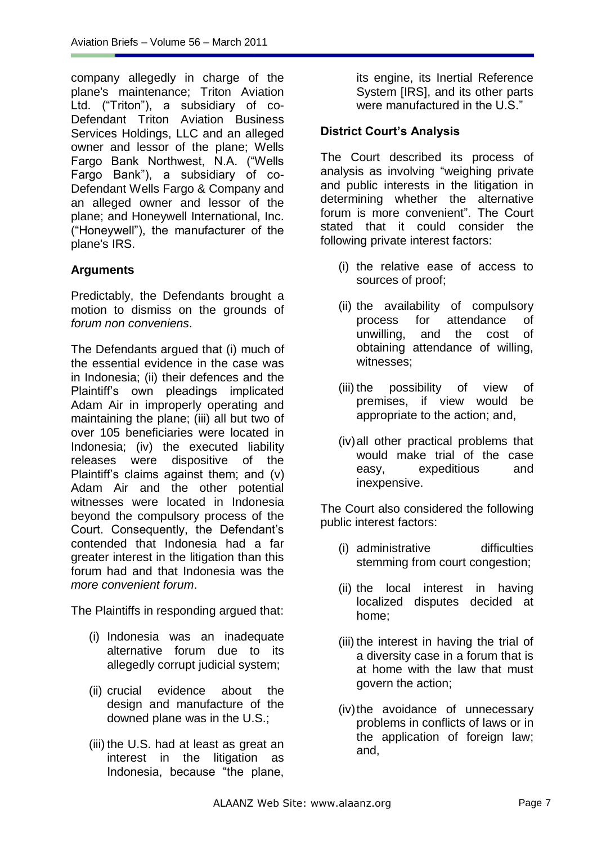company allegedly in charge of the plane's maintenance; Triton Aviation Ltd. ("Triton"), a subsidiary of co-Defendant Triton Aviation Business Services Holdings, LLC and an alleged owner and lessor of the plane; Wells Fargo Bank Northwest, N.A. ("Wells Fargo Bank"), a subsidiary of co-Defendant Wells Fargo & Company and an alleged owner and lessor of the plane; and Honeywell International, Inc. ("Honeywell"), the manufacturer of the plane's IRS.

## **Arguments**

Predictably, the Defendants brought a motion to dismiss on the grounds of *forum non conveniens*.

The Defendants argued that (i) much of the essential evidence in the case was in Indonesia; (ii) their defences and the Plaintiff"s own pleadings implicated Adam Air in improperly operating and maintaining the plane; (iii) all but two of over 105 beneficiaries were located in Indonesia; (iv) the executed liability releases were dispositive of the Plaintiff"s claims against them; and (v) Adam Air and the other potential witnesses were located in Indonesia beyond the compulsory process of the Court. Consequently, the Defendant"s contended that Indonesia had a far greater interest in the litigation than this forum had and that Indonesia was the *more convenient forum*.

The Plaintiffs in responding argued that:

- (i) Indonesia was an inadequate alternative forum due to its allegedly corrupt judicial system;
- (ii) crucial evidence about the design and manufacture of the downed plane was in the U.S.;
- (iii) the U.S. had at least as great an interest in the litigation as Indonesia, because "the plane,

its engine, its Inertial Reference System [IRS], and its other parts were manufactured in the U.S."

## **District Court"s Analysis**

The Court described its process of analysis as involving "weighing private and public interests in the litigation in determining whether the alternative forum is more convenient". The Court stated that it could consider the following private interest factors:

- (i) the relative ease of access to sources of proof;
- (ii) the availability of compulsory process for attendance of unwilling, and the cost of obtaining attendance of willing, witnesses;
- (iii) the possibility of view of premises, if view would be appropriate to the action; and,
- (iv)all other practical problems that would make trial of the case easy, expeditious and inexpensive.

The Court also considered the following public interest factors:

- (i) administrative difficulties stemming from court congestion;
- (ii) the local interest in having localized disputes decided at home;
- (iii) the interest in having the trial of a diversity case in a forum that is at home with the law that must govern the action;
- (iv)the avoidance of unnecessary problems in conflicts of laws or in the application of foreign law; and,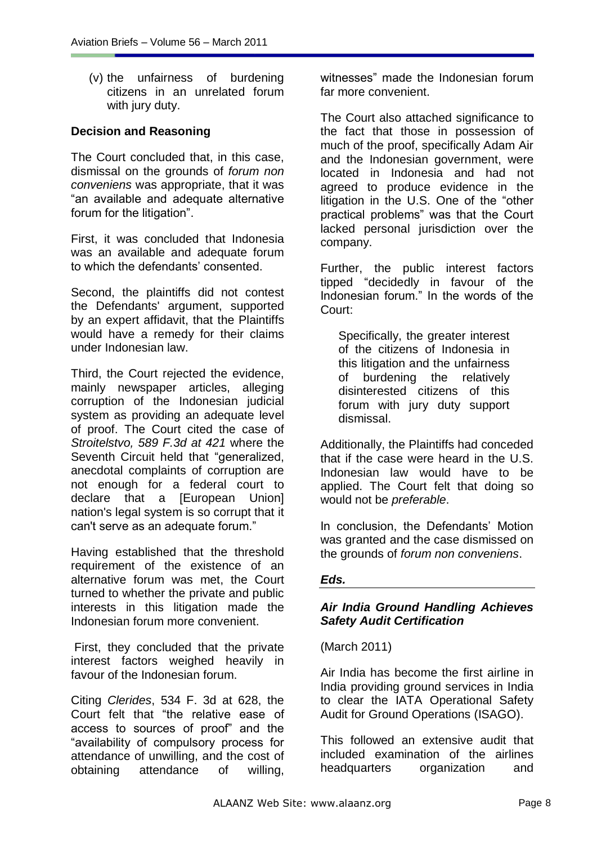(v) the unfairness of burdening citizens in an unrelated forum with jury duty.

## **Decision and Reasoning**

The Court concluded that, in this case, dismissal on the grounds of *forum non conveniens* was appropriate, that it was "an available and adequate alternative forum for the litigation".

First, it was concluded that Indonesia was an available and adequate forum to which the defendants' consented.

Second, the plaintiffs did not contest the Defendants' argument, supported by an expert affidavit, that the Plaintiffs would have a remedy for their claims under Indonesian law.

Third, the Court rejected the evidence, mainly newspaper articles, alleging corruption of the Indonesian judicial system as providing an adequate level of proof. The Court cited the case of *[Stroitelstvo,](http://au.westlaw.com/Find/Default.wl?rs=WLIN1.0&vr=2.0&DB=506&FindType=Y&ReferencePositionType=S&SerialNum=2020710710&ReferencePosition=421) [589 F.3d at 421](http://au.westlaw.com/Find/Default.wl?rs=WLIN1.0&vr=2.0&DB=506&FindType=Y&ReferencePositionType=S&SerialNum=2020710710&ReferencePosition=421)* where the Seventh Circuit held that "generalized, anecdotal complaints of corruption are not enough for a federal court to declare that a [European Union] nation's legal system is so corrupt that it can't serve as an adequate forum."

Having established that the threshold requirement of the existence of an alternative forum was met, the Court turned to whether the private and public interests in this litigation made the Indonesian forum more convenient.

First, they concluded that the private interest factors weighed heavily in favour of the Indonesian forum.

Citing *Clerides*, 534 F. 3d at 628, the Court felt that "the relative ease of access to sources of proof" and the "availability of compulsory process for attendance of unwilling, and the cost of obtaining attendance of willing,

witnesses" made the Indonesian forum far more convenient.

The Court also attached significance to the fact that those in possession of much of the proof, specifically Adam Air and the Indonesian government, were located in Indonesia and had not agreed to produce evidence in the litigation in the U.S. One of the "other practical problems" was that the Court lacked personal jurisdiction over the company.

Further, the public interest factors tipped "decidedly in favour of the Indonesian forum." In the words of the Court:

Specifically, the greater interest of the citizens of Indonesia in this litigation and the unfairness of burdening the relatively disinterested citizens of this forum with jury duty support dismissal.

Additionally, the Plaintiffs had conceded that if the case were heard in the U.S. Indonesian law would have to be applied. The Court felt that doing so would not be *preferable*.

In conclusion, the Defendants" Motion was granted and the case dismissed on the grounds of *forum non conveniens*.

#### *Eds.*

## *Air India Ground Handling Achieves Safety Audit Certification*

(March 2011)

Air India has become the first airline in India providing ground services in India to clear the IATA Operational Safety Audit for Ground Operations (ISAGO).

This followed an extensive audit that included examination of the airlines headquarters organization and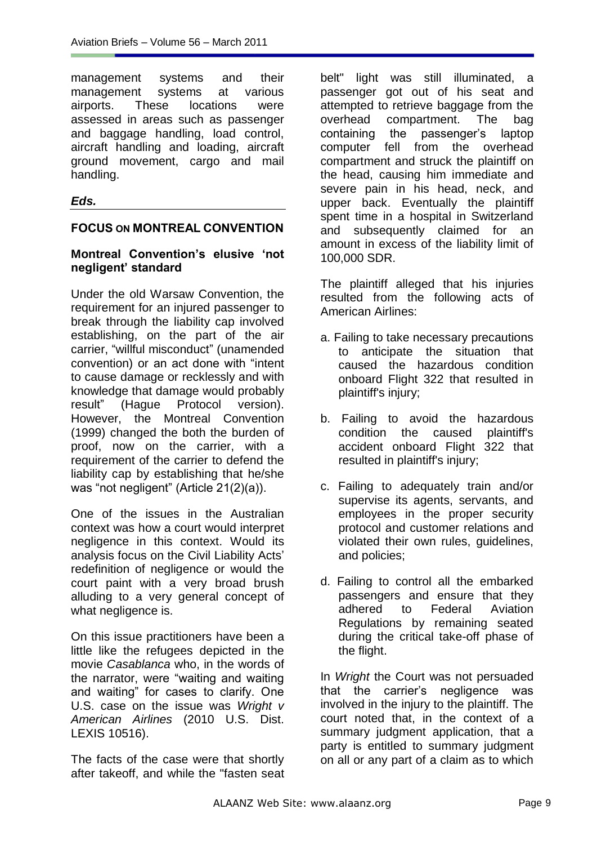management systems and their management systems at various airports. These locations were assessed in areas such as passenger and baggage handling, load control, aircraft handling and loading, aircraft ground movement, cargo and mail handling.

## *Eds.*

## **FOCUS ON MONTREAL CONVENTION**

## **Montreal Convention"s elusive "not negligent" standard**

Under the old Warsaw Convention, the requirement for an injured passenger to break through the liability cap involved establishing, on the part of the air carrier, "willful misconduct" (unamended convention) or an act done with "intent to cause damage or recklessly and with knowledge that damage would probably result" (Hague Protocol version). However, the Montreal Convention (1999) changed the both the burden of proof, now on the carrier, with a requirement of the carrier to defend the liability cap by establishing that he/she was "not negligent" (Article 21(2)(a)).

One of the issues in the Australian context was how a court would interpret negligence in this context. Would its analysis focus on the Civil Liability Acts" redefinition of negligence or would the court paint with a very broad brush alluding to a very general concept of what negligence is.

On this issue practitioners have been a little like the refugees depicted in the movie *Casablanca* who, in the words of the narrator, were "waiting and waiting and waiting" for cases to clarify. One U.S. case on the issue was *Wright v American Airlines* (2010 U.S. Dist. LEXIS 10516).

The facts of the case were that shortly after takeoff, and while the "fasten seat belt" light was still illuminated, a passenger got out of his seat and attempted to retrieve baggage from the overhead compartment. The bag containing the passenger"s laptop computer fell from the overhead compartment and struck the plaintiff on the head, causing him immediate and severe pain in his head, neck, and upper back. Eventually the plaintiff spent time in a hospital in Switzerland and subsequently claimed for an amount in excess of the liability limit of 100,000 SDR.

The plaintiff alleged that his injuries resulted from the following acts of American Airlines:

- a. Failing to take necessary precautions to anticipate the situation that caused the hazardous condition onboard Flight 322 that resulted in plaintiff's injury;
- b. Failing to avoid the hazardous condition the caused plaintiff's accident onboard Flight 322 that resulted in plaintiff's injury;
- c. Failing to adequately train and/or supervise its agents, servants, and employees in the proper security protocol and customer relations and violated their own rules, guidelines, and policies;
- d. Failing to control all the embarked passengers and ensure that they adhered to Federal Aviation Regulations by remaining seated during the critical take-off phase of the flight.

In *Wright* the Court was not persuaded that the carrier"s negligence was involved in the injury to the plaintiff. The court noted that, in the context of a summary judgment application, that a party is entitled to summary judgment on all or any part of a claim as to which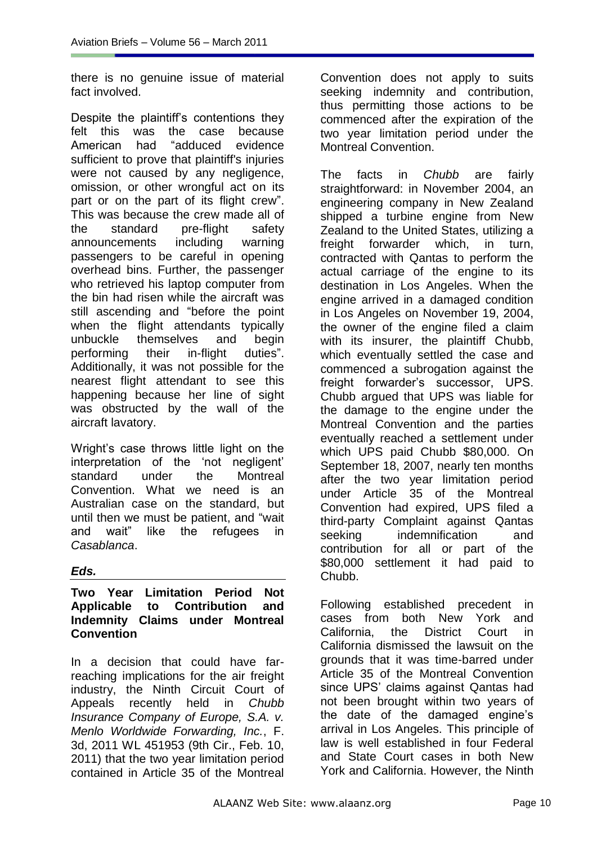there is no genuine issue of material fact involved.

Despite the plaintiff"s contentions they felt this was the case because American had "adduced evidence sufficient to prove that plaintiff's injuries were not caused by any negligence, omission, or other wrongful act on its part or on the part of its flight crew". This was because the crew made all of the standard pre-flight safety announcements including warning passengers to be careful in opening overhead bins. Further, the passenger who retrieved his laptop computer from the bin had risen while the aircraft was still ascending and "before the point when the flight attendants typically unbuckle themselves and begin performing their in-flight duties". Additionally, it was not possible for the nearest flight attendant to see this happening because her line of sight was obstructed by the wall of the aircraft lavatory.

Wright"s case throws little light on the interpretation of the 'not negligent' standard under the Montreal Convention. What we need is an Australian case on the standard, but until then we must be patient, and "wait and wait" like the refugees in *Casablanca*.

#### *Eds.*

#### **Two Year Limitation Period Not Applicable to Contribution and Indemnity Claims under Montreal Convention**

In a decision that could have farreaching implications for the air freight industry, the Ninth Circuit Court of Appeals recently held in *Chubb Insurance Company of Europe, S.A. v. Menlo Worldwide Forwarding, Inc.*, F. 3d, 2011 WL 451953 (9th Cir., Feb. 10, 2011) that the two year limitation period contained in Article 35 of the Montreal Convention does not apply to suits seeking indemnity and contribution, thus permitting those actions to be commenced after the expiration of the two year limitation period under the Montreal Convention.

The facts in *Chubb* are fairly straightforward: in November 2004, an engineering company in New Zealand shipped a turbine engine from New Zealand to the United States, utilizing a freight forwarder which, in turn, contracted with Qantas to perform the actual carriage of the engine to its destination in Los Angeles. When the engine arrived in a damaged condition in Los Angeles on November 19, 2004, the owner of the engine filed a claim with its insurer, the plaintiff Chubb, which eventually settled the case and commenced a subrogation against the freight forwarder"s successor, UPS. Chubb argued that UPS was liable for the damage to the engine under the Montreal Convention and the parties eventually reached a settlement under which UPS paid Chubb \$80,000. On September 18, 2007, nearly ten months after the two year limitation period under Article 35 of the Montreal Convention had expired, UPS filed a third-party Complaint against Qantas seeking indemnification and contribution for all or part of the \$80,000 settlement it had paid to Chubb.

Following established precedent in cases from both New York and California, the District Court in California dismissed the lawsuit on the grounds that it was time-barred under Article 35 of the Montreal Convention since UPS' claims against Qantas had not been brought within two years of the date of the damaged engine's arrival in Los Angeles. This principle of law is well established in four Federal and State Court cases in both New York and California. However, the Ninth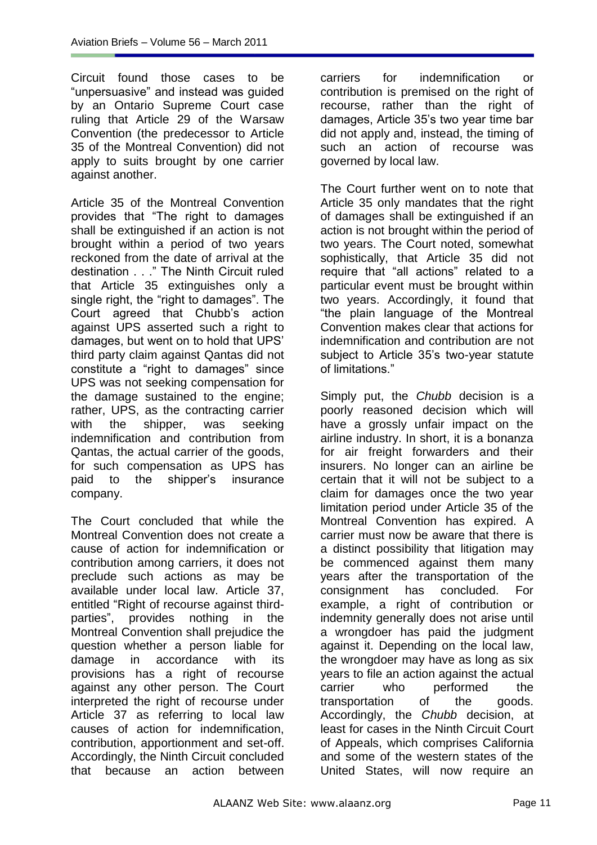Circuit found those cases to be "unpersuasive" and instead was guided by an Ontario Supreme Court case ruling that Article 29 of the Warsaw Convention (the predecessor to Article 35 of the Montreal Convention) did not apply to suits brought by one carrier against another.

Article 35 of the Montreal Convention provides that "The right to damages shall be extinguished if an action is not brought within a period of two years reckoned from the date of arrival at the destination . . ." The Ninth Circuit ruled that Article 35 extinguishes only a single right, the "right to damages". The Court agreed that Chubb"s action against UPS asserted such a right to damages, but went on to hold that UPS" third party claim against Qantas did not constitute a "right to damages" since UPS was not seeking compensation for the damage sustained to the engine; rather, UPS, as the contracting carrier with the shipper, was seeking indemnification and contribution from Qantas, the actual carrier of the goods, for such compensation as UPS has paid to the shipper"s insurance company.

The Court concluded that while the Montreal Convention does not create a cause of action for indemnification or contribution among carriers, it does not preclude such actions as may be available under local law. Article 37, entitled "Right of recourse against thirdparties", provides nothing in the Montreal Convention shall prejudice the question whether a person liable for damage in accordance with its provisions has a right of recourse against any other person. The Court interpreted the right of recourse under Article 37 as referring to local law causes of action for indemnification, contribution, apportionment and set-off. Accordingly, the Ninth Circuit concluded that because an action between carriers for indemnification or contribution is premised on the right of recourse, rather than the right of damages, Article 35"s two year time bar did not apply and, instead, the timing of such an action of recourse was governed by local law.

The Court further went on to note that Article 35 only mandates that the right of damages shall be extinguished if an action is not brought within the period of two years. The Court noted, somewhat sophistically, that Article 35 did not require that "all actions" related to a particular event must be brought within two years. Accordingly, it found that "the plain language of the Montreal Convention makes clear that actions for indemnification and contribution are not subject to Article 35"s two-year statute of limitations."

Simply put, the *Chubb* decision is a poorly reasoned decision which will have a grossly unfair impact on the airline industry. In short, it is a bonanza for air freight forwarders and their insurers. No longer can an airline be certain that it will not be subject to a claim for damages once the two year limitation period under Article 35 of the Montreal Convention has expired. A carrier must now be aware that there is a distinct possibility that litigation may be commenced against them many years after the transportation of the consignment has concluded. For example, a right of contribution or indemnity generally does not arise until a wrongdoer has paid the judgment against it. Depending on the local law, the wrongdoer may have as long as six years to file an action against the actual carrier who performed the transportation of the goods. Accordingly, the *Chubb* decision, at least for cases in the Ninth Circuit Court of Appeals, which comprises California and some of the western states of the United States, will now require an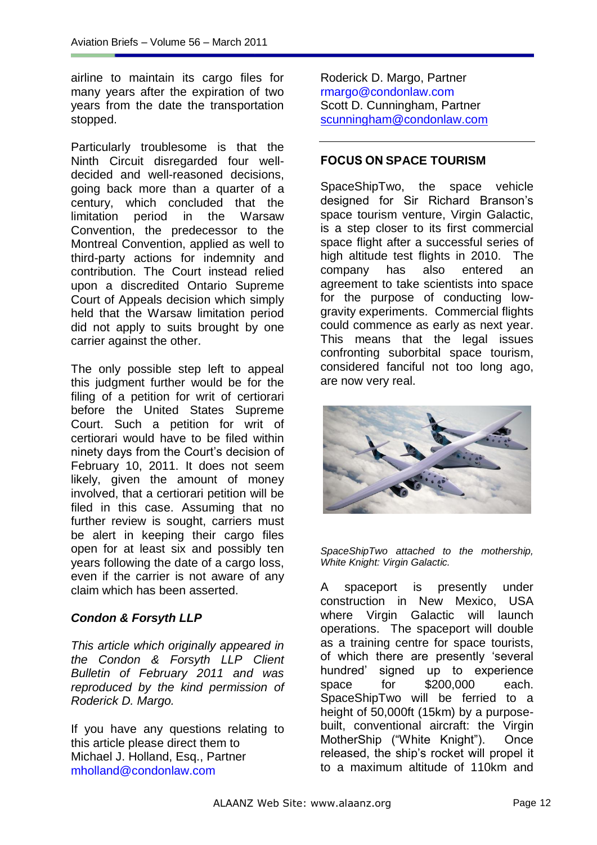airline to maintain its cargo files for many years after the expiration of two years from the date the transportation stopped.

Particularly troublesome is that the Ninth Circuit disregarded four welldecided and well-reasoned decisions, going back more than a quarter of a century, which concluded that the limitation period in the Warsaw Convention, the predecessor to the Montreal Convention, applied as well to third-party actions for indemnity and contribution. The Court instead relied upon a discredited Ontario Supreme Court of Appeals decision which simply held that the Warsaw limitation period did not apply to suits brought by one carrier against the other.

The only possible step left to appeal this judgment further would be for the filing of a petition for writ of certiorari before the United States Supreme Court. Such a petition for writ of certiorari would have to be filed within ninety days from the Court"s decision of February 10, 2011. It does not seem likely, given the amount of money involved, that a certiorari petition will be filed in this case. Assuming that no further review is sought, carriers must be alert in keeping their cargo files open for at least six and possibly ten years following the date of a cargo loss, even if the carrier is not aware of any claim which has been asserted.

## *Condon & Forsyth LLP*

*This article which originally appeared in the Condon & Forsyth LLP Client Bulletin of February 2011 and was reproduced by the kind permission of Roderick D. Margo.*

If you have any questions relating to this article please direct them to Michael J. Holland, Esq., Partner mholland@condonlaw.com

Roderick D. Margo, Partner rmargo@condonlaw.com Scott D. Cunningham, Partner [scunningham@condonlaw.com](mailto:scunningham@condonlaw.com)

## **FOCUS ON SPACE TOURISM**

SpaceShipTwo, the space vehicle designed for Sir Richard Branson"s space tourism venture, Virgin Galactic, is a step closer to its first commercial space flight after a successful series of high altitude test flights in 2010. The company has also entered an agreement to take scientists into space for the purpose of conducting lowgravity experiments. Commercial flights could commence as early as next year. This means that the legal issues confronting suborbital space tourism, considered fanciful not too long ago, are now very real.



*SpaceShipTwo attached to the mothership, White Knight: Virgin Galactic.*

A spaceport is presently under construction in New Mexico, USA where Virgin Galactic will launch operations. The spaceport will double as a training centre for space tourists, of which there are presently "several hundred" signed up to experience space for \$200,000 each. SpaceShipTwo will be ferried to a height of 50,000ft (15km) by a purposebuilt, conventional aircraft: the Virgin MotherShip ("White Knight"). Once released, the ship"s rocket will propel it to a maximum altitude of 110km and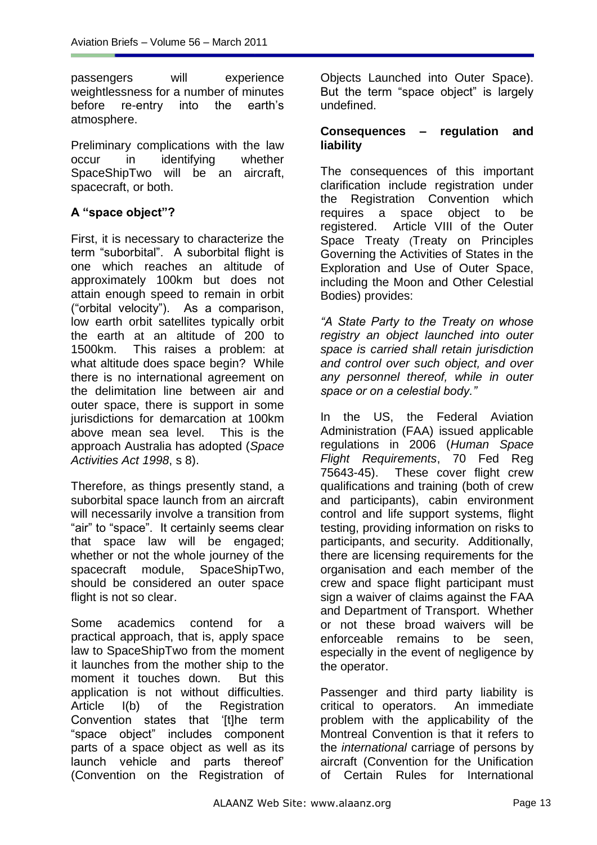passengers will experience weightlessness for a number of minutes before re-entry into the earth"s atmosphere.

Preliminary complications with the law occur in identifying whether SpaceShipTwo will be an aircraft, spacecraft, or both.

## **A "space object"?**

First, it is necessary to characterize the term "suborbital". A suborbital flight is one which reaches an altitude of approximately 100km but does not attain enough speed to remain in orbit ("orbital velocity"). As a comparison, low earth orbit satellites typically orbit the earth at an altitude of 200 to 1500km. This raises a problem: at what altitude does space begin? While there is no international agreement on the delimitation line between air and outer space, there is support in some jurisdictions for demarcation at 100km above mean sea level. This is the approach Australia has adopted (*Space Activities Act 1998*, s 8).

Therefore, as things presently stand, a suborbital space launch from an aircraft will necessarily involve a transition from "air" to "space". It certainly seems clear that space law will be engaged; whether or not the whole journey of the spacecraft module, SpaceShipTwo, should be considered an outer space flight is not so clear.

Some academics contend for a practical approach, that is, apply space law to SpaceShipTwo from the moment it launches from the mother ship to the moment it touches down. But this application is not without difficulties. Article I(b) of the Registration Convention states that "[t]he term "space object" includes component parts of a space object as well as its launch vehicle and parts thereof" (Convention on the Registration of Objects Launched into Outer Space). But the term "space object" is largely undefined.

#### **Consequences – regulation and liability**

The consequences of this important clarification include registration under the Registration Convention which requires a space object to be registered. Article VIII of the Outer Space Treaty (Treaty on Principles Governing the Activities of States in the Exploration and Use of Outer Space, including the Moon and Other Celestial Bodies) provides:

*"A State Party to the Treaty on whose registry an object launched into outer space is carried shall retain jurisdiction and control over such object, and over any personnel thereof, while in outer space or on a celestial body."*

In the US, the Federal Aviation Administration (FAA) issued applicable regulations in 2006 (*Human Space Flight Requirements*, 70 Fed Reg 75643-45). These cover flight crew qualifications and training (both of crew and participants), cabin environment control and life support systems, flight testing, providing information on risks to participants, and security. Additionally, there are licensing requirements for the organisation and each member of the crew and space flight participant must sign a waiver of claims against the FAA and Department of Transport. Whether or not these broad waivers will be enforceable remains to be seen, especially in the event of negligence by the operator.

Passenger and third party liability is critical to operators. An immediate problem with the applicability of the Montreal Convention is that it refers to the *international* carriage of persons by aircraft (Convention for the Unification of Certain Rules for International